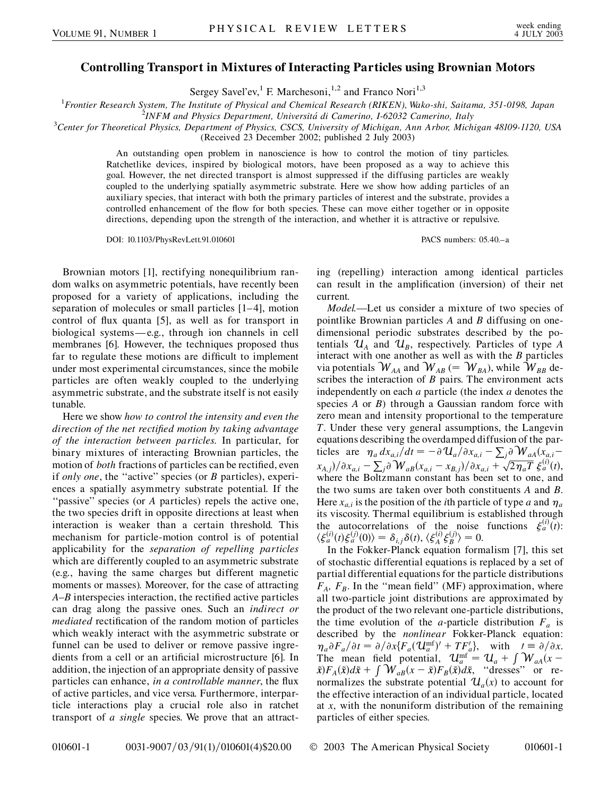## **Controlling Transport in Mixtures of Interacting Particles using Brownian Motors**

Sergey Savel'ev,<sup>1</sup> F. Marchesoni,<sup>1,2</sup> and Franco Nori<sup>1,3</sup>

1 *Frontier Research System, The Institute of Physical and Chemical Research (RIKEN), Wako-shi, Saitama, 351-0198, Japan* <sup>2</sup>

*INFM and Physics Department, Universita´ di Camerino, I-62032 Camerino, Italy* <sup>3</sup>

*Center for Theoretical Physics, Department of Physics, CSCS, University of Michigan, Ann Arbor, Michigan 48109-1120, USA*

(Received 23 December 2002; published 2 July 2003)

An outstanding open problem in nanoscience is how to control the motion of tiny particles. Ratchetlike devices, inspired by biological motors, have been proposed as a way to achieve this goal. However, the net directed transport is almost suppressed if the diffusing particles are weakly coupled to the underlying spatially asymmetric substrate. Here we show how adding particles of an auxiliary species, that interact with both the primary particles of interest and the substrate, provides a controlled enhancement of the flow for both species. These can move either together or in opposite directions, depending upon the strength of the interaction, and whether it is attractive or repulsive.

DOI: 10.1103/PhysRevLett.91.010601 PACS numbers: 05.40.–a

Brownian motors [1], rectifying nonequilibrium random walks on asymmetric potentials, have recently been proposed for a variety of applications, including the separation of molecules or small particles [1–4], motion control of flux quanta [5], as well as for transport in biological systems—e.g., through ion channels in cell membranes [6]. However, the techniques proposed thus far to regulate these motions are difficult to implement under most experimental circumstances, since the mobile particles are often weakly coupled to the underlying asymmetric substrate, and the substrate itself is not easily tunable.

Here we show *how to control the intensity and even the direction of the net rectified motion by taking advantage of the interaction between particles*. In particular, for binary mixtures of interacting Brownian particles, the motion of *both* fractions of particles can be rectified, even if *only one*, the ''active'' species (or *B* particles), experiences a spatially asymmetry substrate potential. If the "passive" species (or *A* particles) repels the active one, the two species drift in opposite directions at least when interaction is weaker than a certain threshold. This mechanism for particle-motion control is of potential applicability for the *separation of repelling particles* which are differently coupled to an asymmetric substrate (e.g., having the same charges but different magnetic moments or masses). Moreover, for the case of attracting *A*–*B* interspecies interaction, the rectified active particles can drag along the passive ones. Such an *indirect or mediated* rectification of the random motion of particles which weakly interact with the asymmetric substrate or funnel can be used to deliver or remove passive ingredients from a cell or an artificial microstructure [6]. In addition, the injection of an appropriate density of passive particles can enhance, *in a controllable manner*, the flux of active particles, and vice versa. Furthermore, interparticle interactions play a crucial role also in ratchet transport of *a single* species. We prove that an attracting (repelling) interaction among identical particles can result in the amplification (inversion) of their net current.

*Model.*—Let us consider a mixture of two species of pointlike Brownian particles *A* and *B* diffusing on onedimensional periodic substrates described by the potentials  $\mathcal{U}_A$  and  $\mathcal{U}_B$ , respectively. Particles of type *A* interact with one another as well as with the *B* particles via potentials  $\mathcal{W}_{\scriptscriptstyle AA}$  and  $\mathcal{W}_{\scriptscriptstyle AB}$  (=  $\mathcal{W}_{\scriptscriptstyle BA}$ ), while  $\mathcal{W}_{\scriptscriptstyle BB}$  describes the interaction of *B* pairs. The environment acts independently on each *a* particle (the index *a* denotes the species *A* or *B*) through a Gaussian random force with zero mean and intensity proportional to the temperature *T*. Under these very general assumptions, the Langevin equations describing the overdamped diffusion of the particles are  $\eta_a dx_{a,i}/dt = -\partial \mathcal{U}_a/\partial x_{a,i} - \sum_j \partial \mathcal{W}_{aA}(x_{a,i} \frac{u_1}{(x_1 + x_2)^2}$ <br> $\frac{u_2}{(x_3 + x_4)^2}$   $\frac{v_3}{(x_4 + x_5)^2}$   $\frac{v_4}{(x_5 + x_6)^2}$   $\frac{v_5}{(x_6 + x_7)^2}$   $\frac{v_6}{(x_7 + x_8)^2}$ - $\sqrt{2\eta_a T} \xi_a^{(i)}(t)$ where the Boltzmann constant has been set to one, and the two sums are taken over both constituents *A* and *B*. Here  $x_{a,i}$  is the position of the *i*th particle of type *a* and  $\eta_a$ its viscosity. Thermal equilibrium is established through the autocorrelations of the noise functions  $\xi_a^{(i)}(t)$ :  $\langle \xi_a^{(i)}(t) \xi_a^{(j)}(0) \rangle = \delta_{i,j} \delta(t), \langle \xi_A^{(i)} \xi_B^{(j)} \rangle = 0.$ 

In the Fokker-Planck equation formalism [7], this set of stochastic differential equations is replaced by a set of partial differential equations for the particle distributions  $F_A$ ,  $F_B$ . In the "mean field" (MF) approximation, where all two-particle joint distributions are approximated by the product of the two relevant one-particle distributions, the time evolution of the *a*-particle distribution  $F_a$  is described by the *nonlinear* Fokker-Planck equation:  $\eta_a \partial F_a/\partial t = \partial/\partial x \{F_a(\mathbf{U}_a^{\text{mf}})' + TF'_a\}, \text{ with } t \equiv \partial/\partial x.$ The mean field potential,  $U_{a}^{\text{mf}} = U_{a} + \int W_{aA}(x \tilde{x}F_A(\tilde{x})d\tilde{x} + \int W_{aB}(x - \tilde{x})F_B(\tilde{x})d\tilde{x}$ , "dresses" or renormalizes the substrate potential  $\mathcal{U}_a(x)$  to account for the effective interaction of an individual particle, located at *x*, with the nonuniform distribution of the remaining particles of either species.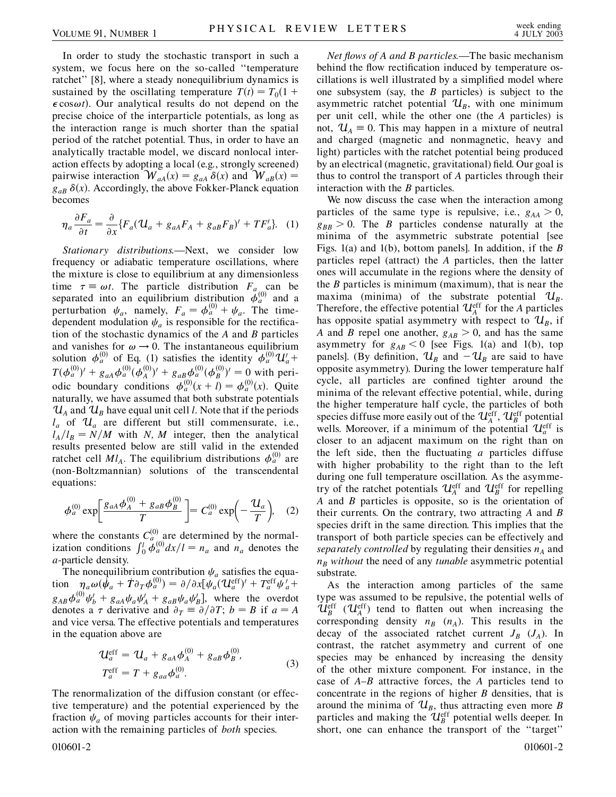In order to study the stochastic transport in such a system, we focus here on the so-called ''temperature ratchet'' [8], where a steady nonequilibrium dynamics is sustained by the oscillating temperature  $T(t) = T_0(1 +$  $\epsilon \cos \omega t$ ). Our analytical results do not depend on the precise choice of the interparticle potentials, as long as the interaction range is much shorter than the spatial period of the ratchet potential. Thus, in order to have an analytically tractable model, we discard nonlocal interaction effects by adopting a local (e.g., strongly screened) pairwise interaction  $W_{aA}(x) = g_{aA} \delta(x)$  and  $W_{aB}(x) = g_{aA} \delta(x)$  $g_{aB}$   $\delta(x)$ . Accordingly, the above Fokker-Planck equation becomes

$$
\eta_a \frac{\partial F_a}{\partial t} = \frac{\partial}{\partial x} \{ F_a (\mathcal{U}_a + g_{aA} F_A + g_{aB} F_B)' + T F_a' \}.
$$
 (1)

*Stationary distributions.*—Next, we consider low frequency or adiabatic temperature oscillations, where the mixture is close to equilibrium at any dimensionless time  $\tau \equiv \omega t$ . The particle distribution  $F_{a}$  can be separated into an equilibrium distribution  $\ddot{\phi}_a^{(0)}$  and a perturbation  $\psi_a$ , namely,  $F_a = \phi_a^{(0)} + \psi_a$ . The timedependent modulation  $\psi_a$  is responsible for the rectification of the stochastic dynamics of the *A* and *B* particles and vanishes for  $\omega \rightarrow 0$ . The instantaneous equilibrium solution  $\phi_a^{(0)}$  of Eq. (1) satisfies the identity  $\phi_a^{(0)} \mathcal{U}_a +$  $T(\phi_a^{(0)})' + g_{aa}\phi_a^{(0)}(\phi_A^{(0)})' + g_{aB}\phi_a^{(0)}(\phi_B^{(0)})' = 0$  with periodic boundary conditions  $\phi_a^{(0)}(x+l) = \phi_a^{(0)}(x)$ . Quite naturally, we have assumed that both substrate potentials  $\mathcal{U}_A$  and  $\mathcal{U}_B$  have equal unit cell *l*. Note that if the periods  $l_a$  of  $\mathcal{U}_a$  are different but still commensurate, i.e.,  $l_A/l_B = N/M$  with *N*, *M* integer, then the analytical results presented below are still valid in the extended ratchet cell  $Ml_A$ . The equilibrium distributions  $\phi_a^{(0)}$  are (non-Boltzmannian) solutions of the transcendental equations:

$$
\phi_a^{(0)} \exp \left[ \frac{g_{aA} \phi_A^{(0)} + g_{aB} \phi_B^{(0)}}{T} \right] = C_a^{(0)} \exp \left( -\frac{u_a}{T} \right), \quad (2)
$$

where the constants  $C_a^{(0)}$  are determined by the normal-<br>ization conditions  $\int_0^l \phi_a^{(0)} dx/l = n_a$  and  $n_a$  denotes the *a*-particle density.

The nonequilibrium contribution  $\psi_a$  satisfies the equation  $\eta_a \omega (\dot{\psi}_a + \dot{T} \partial_T \phi_a^{(0)}) = \partial / \partial x [\psi_a (U_a^{\text{eff}})' + T_a^{\text{eff}} \psi_a' +$  $g_{AB}\phi_a^{(0)}\psi_b' + g_{aa}\psi_a\psi_A' + g_{ab}\psi_a\psi_B'$ , where the overdot denotes a  $\tau$  derivative and  $\partial_T = \partial/\partial T$ ;  $b = B$  if  $a = A$ and vice versa. The effective potentials and temperatures in the equation above are

$$
\mathcal{U}_a^{\text{eff}} = \mathcal{U}_a + g_{aA} \phi_A^{(0)} + g_{aB} \phi_B^{(0)},
$$
  
\n
$$
T_a^{\text{eff}} = T + g_{aa} \phi_a^{(0)}.
$$
\n(3)

The renormalization of the diffusion constant (or effective temperature) and the potential experienced by the fraction  $\psi_a$  of moving particles accounts for their interaction with the remaining particles of *both* species.

*Net flows of A and B particles.*—The basic mechanism behind the flow rectification induced by temperature oscillations is well illustrated by a simplified model where one subsystem (say, the *B* particles) is subject to the asymmetric ratchet potential  $\mathcal{U}_B$ , with one minimum per unit cell, while the other one (the *A* particles) is not,  $\mathcal{U}_A = 0$ . This may happen in a mixture of neutral and charged (magnetic and nonmagnetic, heavy and light) particles with the ratchet potential being produced by an electrical (magnetic, gravitational) field. Our goal is thus to control the transport of *A* particles through their interaction with the *B* particles.

We now discuss the case when the interaction among particles of the same type is repulsive, i.e.,  $g_{AA} > 0$ ,  $g_{BB}$  > 0. The *B* particles condense naturally at the minima of the asymmetric substrate potential [see Figs. 1(a) and 1(b), bottom panels]. In addition, if the *B* particles repel (attract) the *A* particles, then the latter ones will accumulate in the regions where the density of the *B* particles is minimum (maximum), that is near the maxima (minima) of the substrate potential  $\mathcal{U}_B$ . Therefore, the effective potential  $\mathcal{U}_A^{\text{eff}}$  for the *A* particles has opposite spatial asymmetry with respect to  $\mathcal{U}_B$ , if *A* and *B* repel one another,  $g_{AB} > 0$ , and has the same asymmetry for  $g_{AB} < 0$  [see Figs. 1(a) and 1(b), top panels]. (By definition,  $\mathcal{U}_B$  and  $-\mathcal{U}_B$  are said to have opposite asymmetry). During the lower temperature half cycle, all particles are confined tighter around the minima of the relevant effective potential, while, during the higher temperature half cycle, the particles of both species diffuse more easily out of the  $\mathcal{U}_A^{\text{eff}}$ ,  $\mathcal{U}_B^{\text{eff}}$  potential wells. Moreover, if a minimum of the potential  $\mathcal{U}_a^{\text{eff}}$  is closer to an adjacent maximum on the right than on the left side, then the fluctuating *a* particles diffuse with higher probability to the right than to the left during one full temperature oscillation. As the asymmetry of the ratchet potentials  $\mathcal{U}_A^{\text{eff}}$  and  $\mathcal{U}_B^{\text{eff}}$  for repelling *A* and *B* particles is opposite, so is the orientation of their currents. On the contrary, two attracting *A* and *B* species drift in the same direction. This implies that the transport of both particle species can be effectively and *separately controlled* by regulating their densities  $n_A$  and  $n_B$  *without* the need of any *tunable* asymmetric potential substrate.

As the interaction among particles of the same type was assumed to be repulsive, the potential wells of  $\mathcal{U}_{B}^{\text{eff}}$  ( $\mathcal{U}_{A}^{\text{eff}}$ ) tend to flatten out when increasing the corresponding density  $n_B$  ( $n_A$ ). This results in the decay of the associated ratchet current  $J_B$  ( $J_A$ ). In contrast, the ratchet asymmetry and current of one species may be enhanced by increasing the density of the other mixture component. For instance, in the case of *A*–*B* attractive forces, the *A* particles tend to concentrate in the regions of higher *B* densities, that is around the minima of  $\mathcal{U}_B$ , thus attracting even more *B* particles and making the  $\mathcal{U}_{B}^{\text{eff}}$  potential wells deeper. In short, one can enhance the transport of the ''target''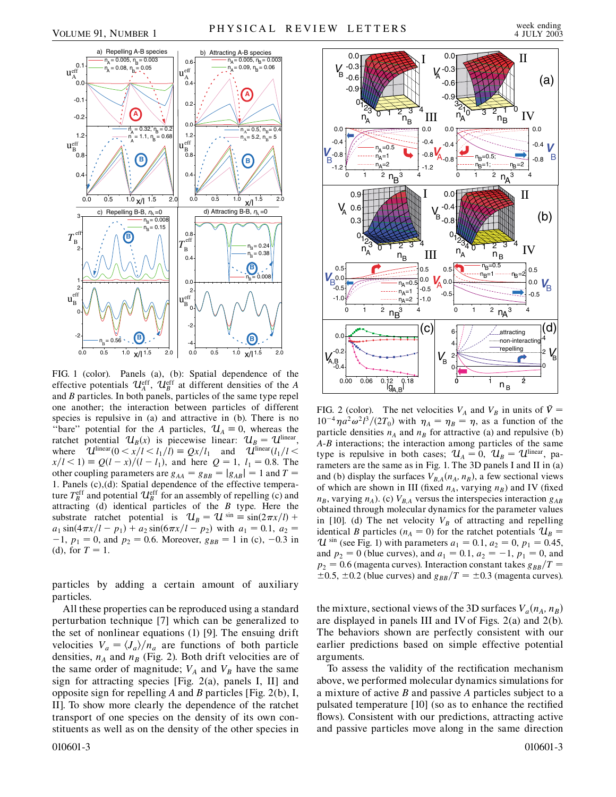-0.6 **V**<sub>B-0.8</sub> 0.0

(a)



FIG. 1 (color). Panels (a), (b): Spatial dependence of the effective potentials  $\mathcal{U}_A^{\text{eff}}$ ,  $\mathcal{U}_B^{\text{eff}}$  at different densities of the *A* and *B* particles. In both panels, particles of the same type repel one another; the interaction between particles of different species is repulsive in (a) and attractive in (b). There is no "bare" potential for the *A* particles,  $\mathcal{U}_A = 0$ , whereas the ratchet potential  $\mathcal{U}_B(x)$  is piecewise linear:  $\mathcal{U}_B = \mathcal{U}^{\text{linear}}$ , where  $\mathcal{U}^{\text{linear}}(0 \le x/l \le l_1/\overline{l}) = Qx/l_1$  and  $\mathcal{U}^{\text{linear}}(l_1/l \le t_1)$  $x/l < 1$  =  $Q(l - x)/(l - l_1)$ , and here  $Q = 1$ ,  $l_1 = 0.8$ . The other coupling parameters are  $g_{AA} = g_{BB} = |g_{AB}| = 1$  and  $T =$ 1. Panels (c),(d): Spatial dependence of the effective temperature  $T_B^{\text{eff}}$  and potential  $\mathcal{U}_B^{\text{eff}}$  for an assembly of repelling (c) and attracting (d) identical particles of the *B* type. Here the substrate ratchet potential is  $\mathcal{U}_B = \mathcal{U}^{\sin} \equiv \sin(2\pi x/l)$  +  $a_1 \sin(4\pi x/l - p_1) + a_2 \sin(6\pi x/l - p_2)$  with  $a_1 = 0.1$ ,  $a_2 =$  $-1$ ,  $p_1 = 0$ , and  $p_2 = 0.6$ . Moreover,  $g_{BB} = 1$  in (c),  $-0.3$  in (d), for  $T = 1$ .

particles by adding a certain amount of auxiliary particles.

All these properties can be reproduced using a standard perturbation technique [7] which can be generalized to the set of nonlinear equations (1) [9]. The ensuing drift velocities  $V_a = \frac{\langle J_a \rangle}{n_a}$  are functions of both particle densities,  $n_A$  and  $n_B$  (Fig. 2). Both drift velocities are of the same order of magnitude;  $V_A$  and  $V_B$  have the same sign for attracting species [Fig. 2(a), panels I, II] and opposite sign for repelling *A* and *B* particles [Fig. 2(b), I, II]. To show more clearly the dependence of the ratchet transport of one species on the density of its own constituents as well as on the density of the other species in



 $-0.6$ -0.3 0.0

 $\begin{bmatrix} 0.0 \end{bmatrix}$ 

A *V*

FIG. 2 (color). The net velocities  $V_A$  and  $V_B$  in units of  $\dot{V} =$  $10^{-4} \eta a^2 \omega^2 l^3/(2T_0)$  with  $\eta_A = \eta_B = \eta$ , as a function of the particle densities  $n_A$  and  $n_B$  for attractive (a) and repulsive (b) *A*-*B* interactions; the interaction among particles of the same type is repulsive in both cases;  $\mathcal{U}_A = 0$ ,  $\mathcal{U}_B = \mathcal{U}^{\text{linear}}$ , parameters are the same as in Fig. 1. The 3D panels I and II in (a) and (b) display the surfaces  $V_{BA}(n_A, n_B)$ , a few sectional views of which are shown in III (fixed  $n_A$ , varying  $n_B$ ) and IV (fixed  $n_B$ , varying  $n_A$ ). (c)  $V_{BA}$  versus the interspecies interaction  $g_{AB}$ obtained through molecular dynamics for the parameter values in [10]. (d) The net velocity  $V_B$  of attracting and repelling identical *B* particles ( $n_A = 0$ ) for the ratchet potentials  $\mathcal{U}_B =$  $U^{\sin}$  (see Fig. 1) with parameters  $a_1 = 0.1, a_2 = 0, p_1 = 0.45$ , and  $p_2 = 0$  (blue curves), and  $a_1 = 0.1$ ,  $a_2 = -1$ ,  $p_1 = 0$ , and  $p_2 = 0.6$  (magenta curves). Interaction constant takes  $g_{BB}/T =$  $\pm 0.5$ ,  $\pm 0.2$  (blue curves) and  $g_{BB}/T = \pm 0.3$  (magenta curves).

the mixture, sectional views of the 3D surfaces  $V_a(n_A, n_B)$ are displayed in panels III and IV of Figs. 2(a) and 2(b). The behaviors shown are perfectly consistent with our earlier predictions based on simple effective potential arguments.

To assess the validity of the rectification mechanism above, we performed molecular dynamics simulations for a mixture of active *B* and passive *A* particles subject to a pulsated temperature [10] (so as to enhance the rectified flows). Consistent with our predictions, attracting active and passive particles move along in the same direction